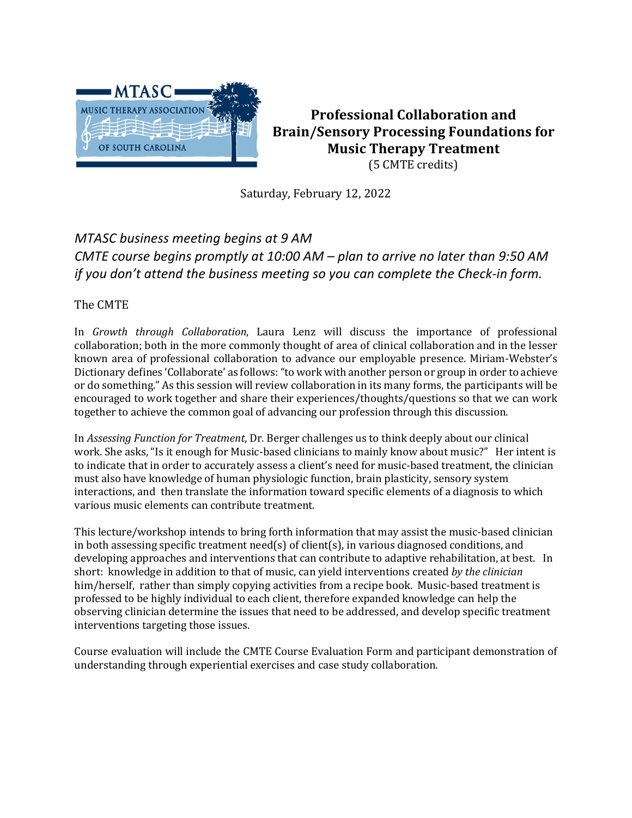

**Professional Collaboration and Brain/Sensory Processing Foundations for Music Therapy Treatment** (5 CMTE credits)

Saturday, February 12, 2022

# *MTASC business meeting begins at 9 AM CMTE course begins promptly at 10:00 AM – plan to arrive no later than 9:50 AM if you don't attend the business meeting so you can complete the Check-in form.*

## The CMTE

In *Growth through Collaboration*, Laura Lenz will discuss the importance of professional collaboration; both in the more commonly thought of area of clinical collaboration and in the lesser known area of professional collaboration to advance our employable presence. Miriam-Webster's Dictionary defines 'Collaborate' as follows: "to work with another person or group in order to achieve or do something." As this session will review collaboration in its many forms, the participants will be encouraged to work together and share their experiences/thoughts/questions so that we can work together to achieve the common goal of advancing our profession through this discussion.

In *Assessing Function for Treatment*, Dr. Berger challenges us to think deeply about our clinical work. She asks, "Is it enough for Music-based clinicians to mainly know about music?" Her intent is to indicate that in order to accurately assess a client's need for music-based treatment, the clinician must also have knowledge of human physiologic function, brain plasticity, sensory system interactions, and then translate the information toward specific elements of a diagnosis to which various music elements can contribute treatment.

This lecture/workshop intends to bring forth information that may assist the music-based clinician in both assessing specific treatment  $\text{need}(s)$  of client(s), in various diagnosed conditions, and developing approaches and interventions that can contribute to adaptive rehabilitation, at best. In short: knowledge in addition to that of music, can yield interventions created by the clinician him/herself, rather than simply copying activities from a recipe book. Music-based treatment is professed to be highly individual to each client, therefore expanded knowledge can help the observing clinician determine the issues that need to be addressed, and develop specific treatment interventions targeting those issues.

Course evaluation will include the CMTE Course Evaluation Form and participant demonstration of understanding through experiential exercises and case study collaboration.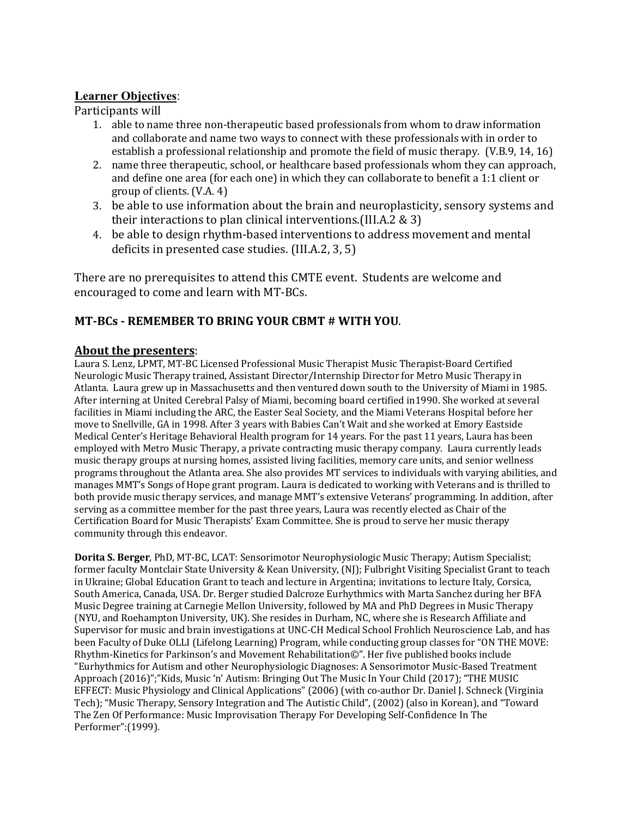## **Learner Objectives**:

Participants will

- 1. able to name three non-therapeutic based professionals from whom to draw information and collaborate and name two ways to connect with these professionals with in order to establish a professional relationship and promote the field of music therapy. (V.B.9, 14, 16)
- 2. name three therapeutic, school, or healthcare based professionals whom they can approach, and define one area (for each one) in which they can collaborate to benefit a 1:1 client or group of clients. (V.A. 4)
- 3. be able to use information about the brain and neuroplasticity, sensory systems and their interactions to plan clinical interventions. (III.A.2  $& 3$ )
- 4. be able to design rhythm-based interventions to address movement and mental deficits in presented case studies.  $[III.A.2, 3, 5]$

There are no prerequisites to attend this CMTE event. Students are welcome and encouraged to come and learn with MT-BCs.

## **MT-BCs - REMEMBER TO BRING YOUR CBMT # WITH YOU**.

### About the presenters:

Laura S. Lenz, LPMT, MT-BC Licensed Professional Music Therapist Music Therapist-Board Certified Neurologic Music Therapy trained, Assistant Director/Internship Director for Metro Music Therapy in Atlanta. Laura grew up in Massachusetts and then ventured down south to the University of Miami in 1985. After interning at United Cerebral Palsy of Miami, becoming board certified in1990. She worked at several facilities in Miami including the ARC, the Easter Seal Society, and the Miami Veterans Hospital before her move to Snellville, GA in 1998. After 3 years with Babies Can't Wait and she worked at Emory Eastside Medical Center's Heritage Behavioral Health program for 14 years. For the past 11 years, Laura has been employed with Metro Music Therapy, a private contracting music therapy company. Laura currently leads music therapy groups at nursing homes, assisted living facilities, memory care units, and senior wellness programs throughout the Atlanta area. She also provides MT services to individuals with varying abilities, and manages MMT's Songs of Hope grant program. Laura is dedicated to working with Veterans and is thrilled to both provide music therapy services, and manage MMT's extensive Veterans' programming. In addition, after serving as a committee member for the past three years, Laura was recently elected as Chair of the Certification Board for Music Therapists' Exam Committee. She is proud to serve her music therapy community through this endeavor.

**Dorita S. Berger**, PhD, MT-BC, LCAT: Sensorimotor Neurophysiologic Music Therapy; Autism Specialist; former faculty Montclair State University & Kean University, (NI): Fulbright Visiting Specialist Grant to teach in Ukraine; Global Education Grant to teach and lecture in Argentina; invitations to lecture Italy, Corsica, South America, Canada, USA. Dr. Berger studied Dalcroze Eurhythmics with Marta Sanchez during her BFA Music Degree training at Carnegie Mellon University, followed by MA and PhD Degrees in Music Therapy (NYU, and Roehampton University, UK). She resides in Durham, NC, where she is Research Affiliate and Supervisor for music and brain investigations at UNC-CH Medical School Frohlich Neuroscience Lab, and has been Faculty of Duke OLLI (Lifelong Learning) Program, while conducting group classes for "ON THE MOVE: Rhythm-Kinetics for Parkinson's and Movement Rehabilitation©". Her five published books include "Eurhythmics for Autism and other Neurophysiologic Diagnoses: A Sensorimotor Music-Based Treatment Approach (2016)";"Kids, Music 'n' Autism: Bringing Out The Music In Your Child (2017); "THE MUSIC EFFECT: Music Physiology and Clinical Applications" (2006) (with co-author Dr. Daniel J. Schneck (Virginia Tech); "Music Therapy, Sensory Integration and The Autistic Child", (2002) (also in Korean), and "Toward The Zen Of Performance: Music Improvisation Therapy For Developing Self-Confidence In The Performer":(1999).